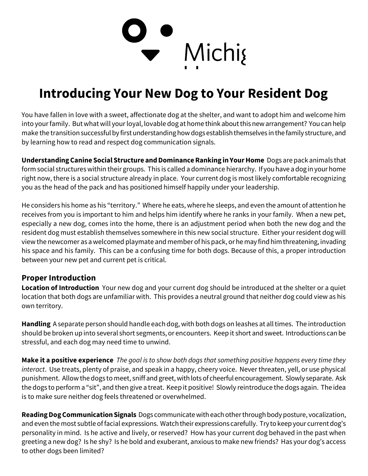

## Introducing Your New Dog to Your Resident Dog

You have fallen in love with a sweet, affectionate dog at the shelter, and want to adopt him and welcome him into your family. But what will your loyal, lovable dog at home think about this new arrangement? You can help make the transition successful by first understanding how dogs establish themselves in the family structure, and by learning how to read and respect dog communication signals.

Understanding Canine Social Structure and Dominance Ranking in Your Home Dogs are pack animals that form social structures within their groups. This is called a dominance hierarchy. If you have a dog in your home right now, there is a social structure already in place. Your current dog is most likely comfortable recognizing you as the head of the pack and has positioned himself happily under your leadership.

He considers his home as his "territory." Where he eats, where he sleeps, and even the amount of attention he receives from you is important to him and helps him identify where he ranks in your family. When a new pet, especially a new dog, comes into the home, there is an adjustment period when both the new dog and the resident dog must establish themselves somewhere in this new social structure. Either your resident dog will view the newcomer as a welcomed playmate and member of his pack, or he may find him threatening, invading his space and his family. This can be a confusing time for both dogs. Because of this, a proper introduction between your new pet and current pet is critical.

## Proper Introduction

Location of Introduction Your new dog and your current dog should be introduced at the shelter or a quiet location that both dogs are unfamiliar with. This provides a neutral ground that neither dog could view as his own territory.

Handling A separate person should handle each dog, with both dogs on leashes at all times. The introduction should be broken up into several short segments, or encounters. Keep it short and sweet. Introductions can be stressful, and each dog may need time to unwind.

Make it a positive experience The goal is to show both dogs that something positive happens every time they interact. Use treats, plenty of praise, and speak in a happy, cheery voice. Never threaten, yell, or use physical punishment. Allow the dogs to meet, sniff and greet, with lots of cheerful encouragement. Slowly separate. Ask the dogs to perform a "sit", and then give a treat. Keep it positive! Slowly reintroduce the dogs again. The idea is to make sure neither dog feels threatened or overwhelmed.

Reading Dog Communication Signals Dogs communicate with each other through body posture, vocalization, and even the most subtle of facial expressions. Watch their expressions carefully. Try to keep your current dog's personality in mind. Is he active and lively, or reserved? How has your current dog behaved in the past when greeting a new dog? Is he shy? Is he bold and exuberant, anxious to make new friends? Has your dog's access to other dogs been limited?